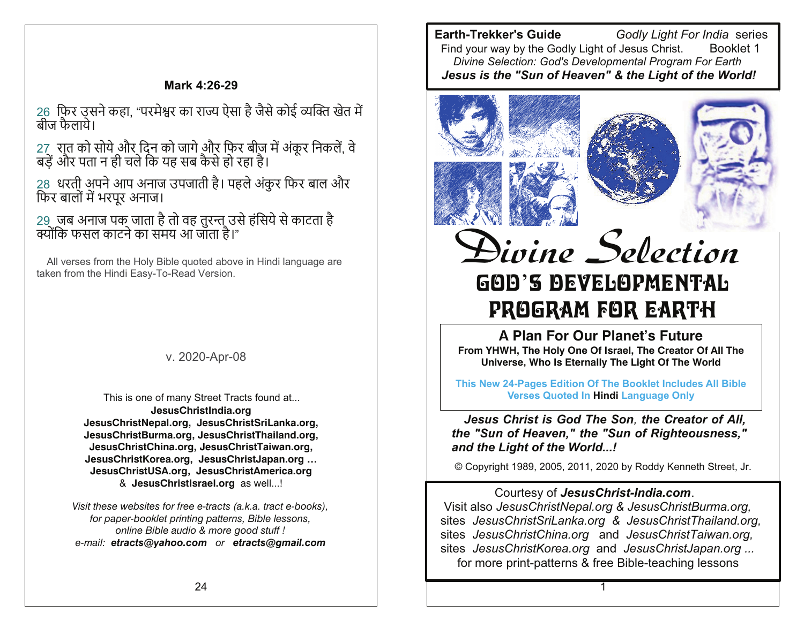#### Mark 4:26-29

26 फिर उसने कहा. "परमेश्वर का राज्य ऐसा है जैसे कोई व्यक्ति खेत में बीज फैलाये।

27) रात को सोये और दिन को जागे और फिर बीज में अंकूर निकलें, वे<br>बड़ें और पता न ही चले कि यह सब कैसे हो रहा है।

28 धरती अपने आप अनाज उपजाती है। पहले अंकुर फिर बाल और फिर बालों में भरपूर अनाज।

29) जब अनाज पक जाता है तो वह तुरन्त उसे हंसिये से काटता है<br>क्योंकि फसल काटने का समय आ जाता है।"

All verses from the Holy Bible quoted above in Hindi language are taken from the Hindi Easy-To-Read Version.

v. 2020-Apr-08

This is one of many Street Tracts found at... JesusChristIndia.org JesusChristNepal.org, JesusChristSriLanka.org, JesusChristBurma.org, JesusChristThailand.org, JesusChristChina.org, JesusChristTaiwan.org, JesusChristKorea.org, JesusChristJapan.org ... JesusChristUSA.org, JesusChristAmerica.org & JesusChristIsrael.org as well...!

Visit these websites for free e-tracts (a.k.a. tract e-books), for paper-booklet printing patterns, Bible lessons, online Bible audio & more good stuff ! e-mail: etracts@yahoo.com or etracts@gmail.com

**Earth-Trekker's Guide** Godly Light For India series Find vour way by the Godly Light of Jesus Christ. Booklet 1 Divine Selection: God's Developmental Program For Earth Jesus is the "Sun of Heaven" & the Light of the World!



# GOD'S DEVELOPMENTAL PROGRAM FOR EARTH

A Plan For Our Planet's Future From YHWH, The Holy One Of Israel, The Creator Of All The Universe, Who Is Eternally The Light Of The World

This New 24-Pages Edition Of The Booklet Includes All Bible **Verses Quoted In Hindi Language Only** 

Jesus Christ is God The Son, the Creator of All, the "Sun of Heaven," the "Sun of Righteousness," and the Light of the World...!

© Copyright 1989, 2005, 2011, 2020 by Roddy Kenneth Street, Jr.

#### Courtesy of JesusChrist-India.com.

Visit also JesusChristNepal.org & JesusChristBurma.org, sites JesusChristSriLanka.org & JesusChristThailand.org, sites JesusChristChina.org and JesusChristTaiwan.org, sites JesusChristKorea.org and JesusChristJapan.org ... for more print-patterns & free Bible-teaching lessons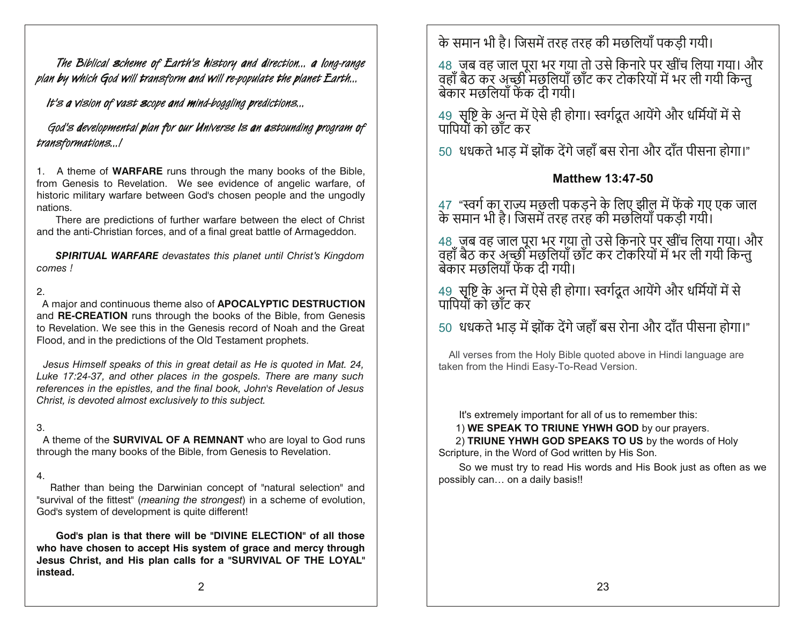The Biblical scheme of Earth's history and direction... a long-range plan by which God will transform and will re-populate the planet Earth...

It's a vision of vast scope and mind-boggling predictions...

God's developmental plan for our Universe is an astounding program of transformations...

1. A theme of **WARFARE** runs through the many books of the Bible, from Genesis to Revelation. We see evidence of angelic warfare, of historic military warfare between God's chosen people and the ungodly nations.

There are predictions of further warfare between the elect of Christ and the anti-Christian forces, and of a final great battle of Armageddon.

**SPIRITUAL WARFARE** devastates this planet until Christ's Kingdom comes!

#### $\mathcal{P}$

A major and continuous theme also of APOCALYPTIC DESTRUCTION and **RE-CREATION** runs through the books of the Bible, from Genesis to Revelation. We see this in the Genesis record of Noah and the Great Flood, and in the predictions of the Old Testament prophets.

Jesus Himself speaks of this in great detail as He is quoted in Mat. 24, Luke 17:24-37, and other places in the gospels. There are many such references in the epistles, and the final book, John's Revelation of Jesus Christ, is devoted almost exclusively to this subject.

#### 3.

A theme of the **SURVIVAL OF A REMNANT** who are loyal to God runs through the many books of the Bible, from Genesis to Revelation.

#### 4.

Rather than being the Darwinian concept of "natural selection" and "survival of the fittest" (meaning the strongest) in a scheme of evolution, God's system of development is quite different!

God's plan is that there will be "DIVINE ELECTION" of all those who have chosen to accept His system of grace and mercy through Jesus Christ, and His plan calls for a "SURVIVAL OF THE LOYAL" instead.

के समान भी है। जिसमें तरह तरह की मछलियाँ पकडी गयी।

48 जब वह जाल पूरा भर गया तो उसे किनारे पर खींच लिया गया। और<br>वहाँ बैठ कर अच्छी मछलियाँ छाँट कर टोकरियों में भर ली गयी किन्तु<br>बेकार मछलियाँ फेंक दी गयी।

49 सृष्टि के अुन्त में ऐसे ही होगा। स्वर्गदूत आयेंगे और धर्मियों में से पापियों को छाँट कर

50 धधकते भाड में झोंक देंगे जहाँ बस रोना और दाँत पीसना होगा।"

#### **Matthew 13:47-50**

47 "स्वर्ग का राज्य मछली पकड़ने के लिए झील में फेंके गए एक जाल<br>के समान भी है। जिसमें तरह तरह की मछलियाँ पकडी गयी।

48. जब वह जाल पूरा भर गया तो उसे किनारे पर खींच लिया गया। और<br>वहाँ बैठ कर अच्छी मछलियाँ छाँट कर टोकरियों में भर ली गयी किन्तु<br>बेकार मछलियाँ फेंक दी गयी।

49) सृष्टि के अन्त में ऐसे ही होगा। स्वर्गदूत आयेंगे और धर्मियों में से<br>पापियों को छाँट कर

50 धधकते भाड़ में झोंक देंगे जहाँ बस रोना और दाँत पीसना होगा।"

All verses from the Holy Bible quoted above in Hindi language are taken from the Hindi Easy-To-Read Version.

It's extremely important for all of us to remember this:

1) WE SPEAK TO TRIUNE YHWH GOD by our prayers.

2) TRIUNE YHWH GOD SPEAKS TO US by the words of Holy Scripture, in the Word of God written by His Son.

So we must try to read His words and His Book just as often as we possibly can... on a daily basis!!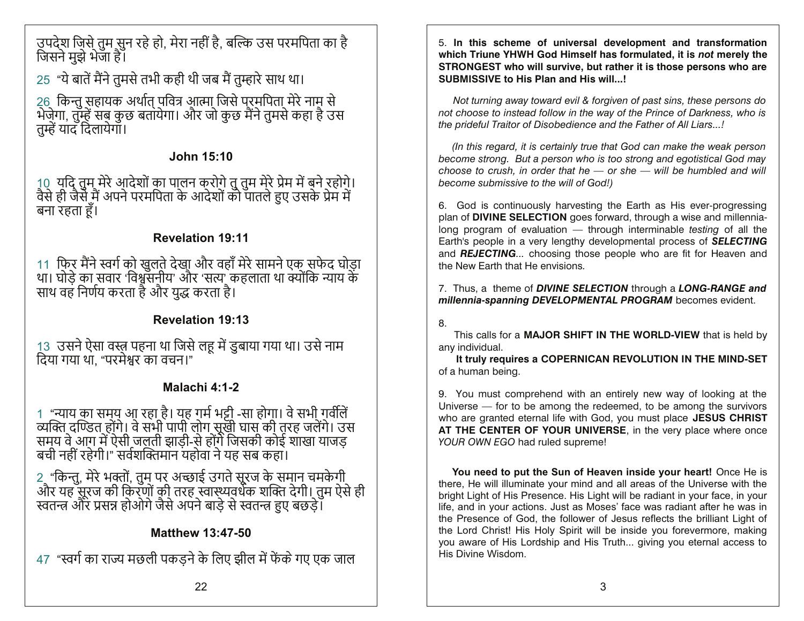उपदेश जिसे तुम सुन रहे हो, मेरा नहीं है, बल्कि उस परमपिता का है<br>जिसने मुझे भेजा है।

25 "ये बातें मैंने तुमसे तभी कही थी जब मैं तुम्हारे साथ था।

26) किन्तु सहायक अर्थात् पवित्र आत्मा जिसे परमपिता मेरे नाम से<br>भेज़ेगा, तुम्हें सब कुछ बतायेगा। और जो कुछ मैंने तुमसे कहा है उस तम्हें याद दिलायेगाँ।

## **John 15:10**

10) यदि तुम मेरे आदेशों का पालन करोगे तु तुम मेरे प्रेम में बने रहोगे।<br>वैसे ही जैसे मैं अपने परमपिता के आदेशों को पातले हुए उसके प्रेम में बना रहता हैं।

## **Revelation 19:11**

11) फिर मैंने स्वर्ग को खुलते देखा और वहाँ मेरे सामने एक सफेद घोड़ा<br>था। घोड़े का सवार 'विश्वसनीय' और 'सत्य' कहलाता था क्योंकि न्याय के साथ वह निर्णय करता है और युद्ध करता है।

# **Revelation 19:13**

13 उसने ऐसा वस्त्र पहना था जिसे लहू में डुबाया गया था। उसे नाम दिया गया था. "परमेश्वर का वचन।"

# Malachi 4:1-2

1 "न्याय का समय आ रहा है। यह गर्म भट्टी -सा होगा। वे सभी गर्वतिं<br>व्यक्ति दण्डित होंगे। वे सभी पापी लोग सूखी घास की तरह जलेंगे। उस<br>समय वे आग में ऐसी जलती झाड़ी-से होंगे जिसकी कोई शाखा याजड़<br>बची नहीं रहेगी।" सर्वशक्तिमान यह

2 "किन्तु, मेरे भक्तों, तुम पर अच्छाई उगते सूरज के समान चमकेगी<br>और यह सूरज की किरणों की तरह स्वास्थ्यवर्धक शक्ति देगी। तुम ऐसे ही<br>स्वतन्त्र और प्रसन्न होओगे जैसे अपने बाड़े से स्वतन्त्र हुए बछड़े।

# **Matthew 13:47-50**

47 "स्वर्ग का राज्य मछली पकडने के लिए झील में फेंके गए एक जाल

5. In this scheme of universal development and transformation which Triune YHWH God Himself has formulated, it is not merely the STRONGEST who will survive, but rather it is those persons who are **SUBMISSIVE to His Plan and His will...!** 

Not turning away toward evil & forgiven of past sins, these persons do not choose to instead follow in the way of the Prince of Darkness, who is the prideful Traitor of Disobedience and the Father of All Liars...!

(In this regard, it is certainly true that God can make the weak person become strong. But a person who is too strong and egotistical God may choose to crush, in order that he  $-$  or she  $-$  will be humbled and will become submissive to the will of God!)

6. God is continuously harvesting the Earth as His ever-progressing plan of DIVINE SELECTION goes forward, through a wise and millennialong program of evaluation  $-$  through interminable testing of all the Earth's people in a very lengthy developmental process of **SELECTING** and REJECTING... choosing those people who are fit for Heaven and the New Farth that He envisions

7. Thus, a theme of DIVINE SELECTION through a LONG-RANGE and millennia-spanning DEVELOPMENTAL PROGRAM becomes evident.

8.

This calls for a MAJOR SHIFT IN THE WORLD-VIEW that is held by any individual.

It truly requires a COPERNICAN REVOLUTION IN THE MIND-SET of a human being.

9. You must comprehend with an entirely new way of looking at the Universe — for to be among the redeemed, to be among the survivors who are granted eternal life with God, you must place JESUS CHRIST AT THE CENTER OF YOUR UNIVERSE, in the very place where once YOUR OWN EGO had ruled supreme!

You need to put the Sun of Heaven inside your heart! Once He is there, He will illuminate your mind and all areas of the Universe with the bright Light of His Presence. His Light will be radiant in your face, in your life, and in your actions. Just as Moses' face was radiant after he was in the Presence of God, the follower of Jesus reflects the brilliant Light of the Lord Christ! His Holy Spirit will be inside you forevermore, making you aware of His Lordship and His Truth... giving you eternal access to His Divine Wisdom.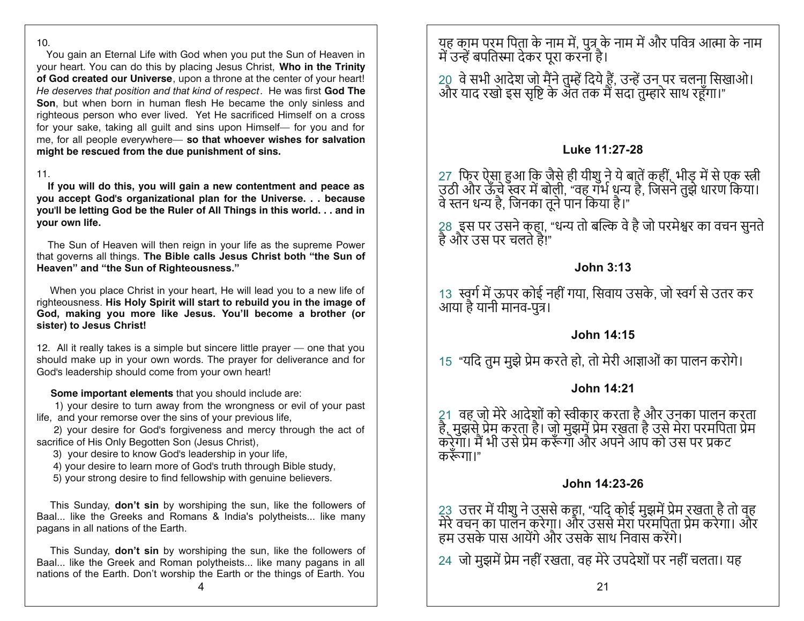#### $10.$

You gain an Eternal Life with God when you put the Sun of Heaven in your heart. You can do this by placing Jesus Christ, Who in the Trinity of God created our Universe, upon a throne at the center of your heart! He deserves that position and that kind of respect. He was first God The Son, but when born in human flesh He became the only sinless and righteous person who ever lived. Yet He sacrificed Himself on a cross for your sake, taking all guilt and sins upon Himself- for you and for me, for all people everywhere- so that whoever wishes for salvation might be rescued from the due punishment of sins.

#### $11.$

If you will do this, you will gain a new contentment and peace as you accept God's organizational plan for the Universe. . . because you'll be letting God be the Ruler of All Things in this world...and in vour own life.

The Sun of Heaven will then reign in your life as the supreme Power that governs all things. The Bible calls Jesus Christ both "the Sun of Heaven" and "the Sun of Righteousness."

When you place Christ in your heart, He will lead you to a new life of righteousness. His Holy Spirit will start to rebuild you in the image of God, making you more like Jesus. You'll become a brother (or sister) to Jesus Christ!

12. All it really takes is a simple but sincere little prayer — one that you should make up in your own words. The prayer for deliverance and for God's leadership should come from your own heart!

#### Some important elements that you should include are:

1) your desire to turn away from the wrongness or evil of your past life, and your remorse over the sins of your previous life,

2) your desire for God's forgiveness and mercy through the act of sacrifice of His Only Begotten Son (Jesus Christ),

3) your desire to know God's leadership in your life,

4) your desire to learn more of God's truth through Bible study,

5) your strong desire to find fellowship with genuine believers.

This Sunday, **don't sin** by worshiping the sun, like the followers of Baal... like the Greeks and Romans & India's polytheists... like many pagans in all nations of the Earth.

This Sunday, **don't sin** by worshiping the sun, like the followers of Baal... like the Greek and Roman polytheists... like many pagans in all nations of the Earth. Don't worship the Earth or the things of Earth. You

यह काम परम पिता के नाम में, पुत्र के नाम में और पवित्र आत्मा के नाम<br>में उन्हें बपतिस्मा देकर पूरा करना है।

20) वे सभी आदेश जो मैंने तुम्हें दिये हैं, उन्हें उन पर चलना सिखाओ।<br>और याद रखो इस सृष्टि के अंत तक मैं सदा तुम्हारे साथ रहूँगा।"

#### Luke 11:27-28

27) फिर ऐसा हुआ कि जैसे ही यीशु ने ये बातें कहीं, भीड़ में से एक स्त्री<br>उठी और ऊँचे स्वर में बोली, "वह गर्भ धन्य है, जिसने तुझे धारण किया।<br>वे स्तन धन्य है, जिनका तूने पान किया है।"

28) इस पर उसने कहा, "धन्य तो बल्कि वे है जो परमेश्वर का वचन सुनते<br>है और उस पर चलते है!"

#### **John 3:13**

13) स्वर्ग में ऊपर कोई नहीं गया, सिवाय उसके, जो स्वर्ग से उतर कर आया है यानी मानव-पुत्र।

#### **John 14:15**

15 "यदि तुम मुझे प्रेम करते हो, तो मेरी आज्ञाओं का पालन करोगे।

#### John 14:21

21) वह जो मेरे आदेशों को स्वीकार करता है और उनका पालन करता<br>है, मुझसे प्रेम करता है। जो मुझमें प्रेम रखता है उसे मेरा परमपिता प्रेम<br>करेगा। मैं भी उसे प्रेम करूँगा और अपने आप को उस पर प्रकट करूँगा।"

#### John 14:23-26

23) उत्तर में यीशु ने उससे कहा, "यदि कोई मुझमें प्रेम रखता है तो वह<br>मेरे वचन का पालन करेगा। और उससे मेरा परमपिता प्रेम करेगा। और<br>हम उसके पास आयेंगे और उसके साथ निवास करेंगे।

24) जो मझमें प्रेम नहीं रखता. वह मेरे उपदेशों पर नहीं चलता। यह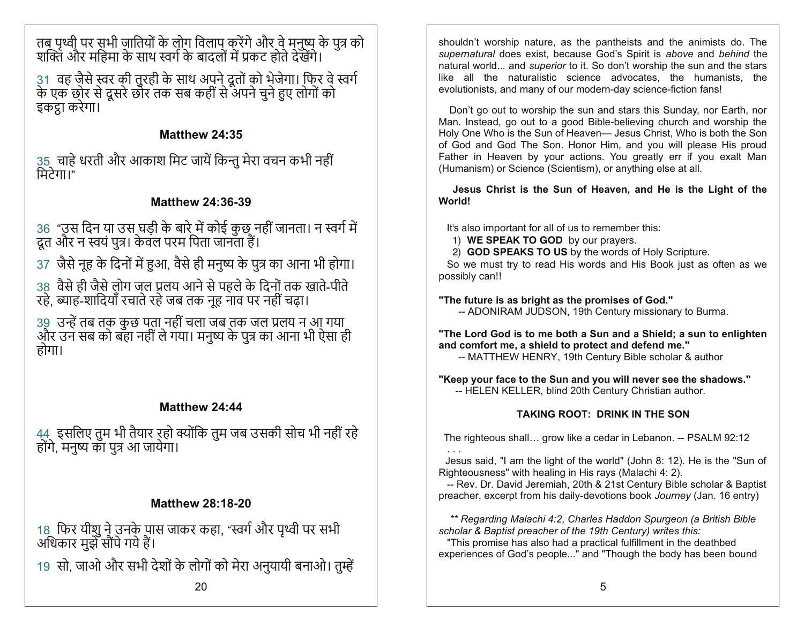तब पृथ्वी पर सभी जातियों के लोग विलाप करेंगे और वे मनुष्य के पुत्र को<br>शक्ति और महिमा के साथ स्वर्ग के बादलों में प्रकट होते देखेंगे।

31) वह जैसे स्वर की तुरही के साथ अपने दूतों को भेजेगा। फिर वे स्वर्ग<br>के एक छोर से दूसरे छोर तक सब कहीं से अपने चुने हुए लोगों को इकट्ठा करेगा।

## Matthew 24:35

35) चाहे धरती और आकाश मिट जायें किन्तु मेरा वचन कभी नहीं<br>मिटेगा।"

## **Matthew 24:36-39**

36 "उस दिन या उस घड़ी के बारे में कोई कुछ नहीं जानता। न स्वर्ग में<br>दूत और न स्वयं पुत्र। केवल परम पिता जानता हैं।

37) जैसे नह के दिनों में हुआ. वैसे ही मनष्य के पत्र का आना भी होगा।

38) वैसे ही जैसे लोग जल प्रलय आने से पहले के दिनों तक खाते-पीते<br>रहे, ब्याह-शादियाँ रचाते रहे जब तक नूह नाव पर नहीं चढ़ा।

39) उन्हें तब तक कुछ पता नहीं चला जब तक जल प्रलय न आ गया<br>और उन सब को बहा नहीं ले गया। मनुष्य के पुत्र का आना भी ऐसा ही होगा।

# Matthew 24:44

44) इसलिए तुम भी तैयार रहो क्योंकि तुम जब उसकी सोच भी नहीं रहे<br>होंगे, मनुष्य का पुत्र आ जायेगा।

# **Matthew 28:18-20**

18) फिर यीशु ने उनके पास जाकर कहा, "स्वर्ग और पृथ्वी पर सभी<br>अधिकार मुझे सौंपे गये हैं।

19) सो, जाओ और सभी देशों के लोगों को मेरा अनुयायी बनाओ। तुम्हें

shouldn't worship nature, as the pantheists and the animists do. The supernatural does exist, because God's Spirit is above and behind the natural world... and *superior* to it. So don't worship the sun and the stars like all the naturalistic science advocates, the humanists, the evolutionists, and many of our modern-day science-fiction fans!

Don't go out to worship the sun and stars this Sunday, nor Earth, nor Man. Instead, go out to a good Bible-believing church and worship the Holy One Who is the Sun of Heaven— Jesus Christ, Who is both the Son of God and God The Son. Honor Him, and you will please His proud Father in Heaven by your actions. You greatly err if you exalt Man (Humanism) or Science (Scientism), or anything else at all.

Jesus Christ is the Sun of Heaven, and He is the Light of the World!

It's also important for all of us to remember this:

1) WE SPEAK TO GOD by our prayers.

2) GOD SPEAKS TO US by the words of Holy Scripture.

So we must try to read His words and His Book just as often as we possibly can!!

"The future is as bright as the promises of God."

-- ADONIRAM JUDSON, 19th Century missionary to Burma.

"The Lord God is to me both a Sun and a Shield; a sun to enlighten and comfort me, a shield to protect and defend me."

-- MATTHEW HENRY, 19th Century Bible scholar & author

"Keep your face to the Sun and you will never see the shadows." -- HELEN KELLER, blind 20th Century Christian author.

# **TAKING ROOT: DRINK IN THE SON**

The righteous shall... grow like a cedar in Lebanon. -- PSALM 92:12

Jesus said, "I am the light of the world" (John 8: 12). He is the "Sun of Righteousness" with healing in His rays (Malachi 4: 2).

-- Rev. Dr. David Jeremiah, 20th & 21st Century Bible scholar & Baptist preacher, excerpt from his daily-devotions book Journey (Jan. 16 entry)

\*\* Regarding Malachi 4:2, Charles Haddon Spurgeon (a British Bible scholar & Baptist preacher of the 19th Century) writes this:

"This promise has also had a practical fulfillment in the deathbed experiences of God's people..." and "Though the body has been bound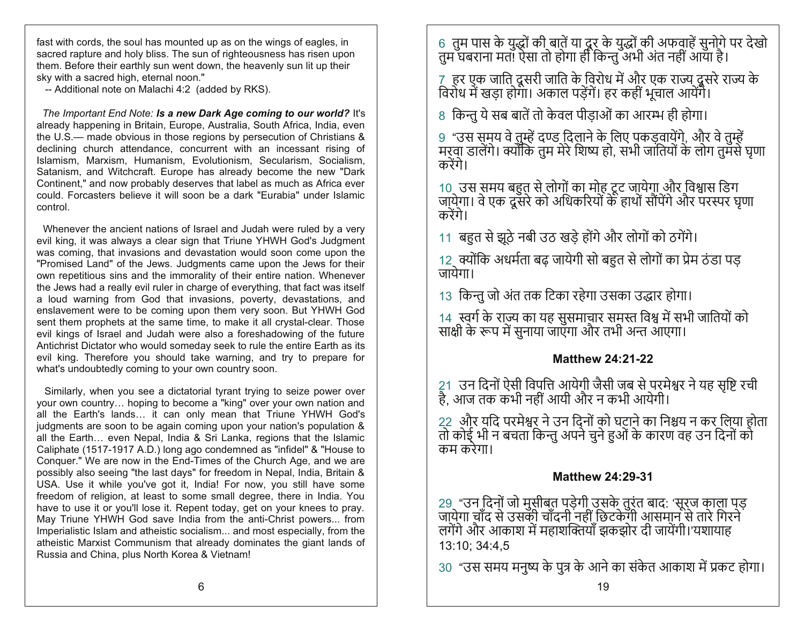fast with cords, the soul has mounted up as on the wings of eagles, in sacred rapture and holy bliss. The sun of righteousness has risen upon them. Before their earthly sun went down, the heavenly sun lit up their sky with a sacred high, eternal noon."

-- Additional note on Malachi 4:2 (added by RKS).

The Important End Note: Is a new Dark Age coming to our world? It's already happening in Britain, Europe, Australia, South Africa, India, even the U.S.— made obvious in those regions by persecution of Christians & declining church attendance, concurrent with an incessant rising of Islamism, Marxism, Humanism, Evolutionism, Secularism, Socialism, Satanism, and Witchcraft. Europe has already become the new "Dark" Continent," and now probably deserves that label as much as Africa ever could. Forcasters believe it will soon be a dark "Eurabia" under Islamic control.

Whenever the ancient nations of Israel and Judah were ruled by a very evil king, it was always a clear sign that Triune YHWH God's Judgment was coming, that invasions and devastation would soon come upon the "Promised Land" of the Jews. Judgments came upon the Jews for their own repetitious sins and the immorality of their entire nation. Whenever the Jews had a really evil ruler in charge of everything, that fact was itself a loud warning from God that invasions, poverty, devastations, and enslavement were to be coming upon them very soon. But YHWH God sent them prophets at the same time, to make it all crystal-clear. Those evil kings of Israel and Judah were also a foreshadowing of the future Antichrist Dictator who would someday seek to rule the entire Earth as its evil king. Therefore you should take warning, and try to prepare for what's undoubtedly coming to your own country soon.

Similarly, when you see a dictatorial tyrant trying to seize power over your own country... hoping to become a "king" over your own nation and all the Earth's lands... it can only mean that Triune YHWH God's judgments are soon to be again coming upon your nation's population & all the Earth... even Nepal, India & Sri Lanka, regions that the Islamic Caliphate (1517-1917 A.D.) long ago condemned as "infidel" & "House to Conquer." We are now in the End-Times of the Church Age, and we are possibly also seeing "the last days" for freedom in Nepal, India, Britain & USA. Use it while you've got it, India! For now, you still have some freedom of religion, at least to some small degree, there in India. You have to use it or you'll lose it. Repent today, get on your knees to pray. May Triune YHWH God save India from the anti-Christ powers... from Imperialistic Islam and atheistic socialism... and most especially, from the atheistic Marxist Communism that already dominates the giant lands of Russia and China, plus North Korea & Vietnam!

6 तुम पास के युद्धों की बातें या दूर के युद्धों की अफवाहें सुनोगे पर देखो<br>तुम घबराना मत! ऐसा तो होगा ही किन्तु अभी अंत नहीं आया है।

7) हर एक जाति दूसरी जाति के विरोध में और एक राज्य दूसरे राज्य के<br>विरोध में खड़ा होगा। अकाल पड़ेंगें। हर कहीं भूचाल आयेंगे।

8 किन्तु ये सब बातें तो केवल पीडाओं का आरम्भ ही होगा।

9 "उस समय वे तुम्हें दण्ड दिलाने के लिए पकड़वायेंगे, और वे तुम्हें<br>मरवा डालेंगे। क्योंकि तुम मेरे शिष्य हो, सभी जातियों के लोग तुमसे घृणा करेंगे।

10) उस समय बहुत से लोगों का मोह टूट जायेगा और विश्वास डिग<br>जा़्येगा। वे एक दूसरे को अधिकरियों के हाथों सौंपेंगे और परस्पर घृणा करेंगे।

11 बहुत से झूठे नबी उठ खड़े होंगे और लोगों को ठगेंगे।

12) क्योंकि अधर्मता बढ़ जायेगी सो बहुत से लोगों का प्रेम ठंडा पड़<br>जायेगा।

13 किन्तु जो अंत तक टिका रहेगा उसका उद्धार होगा।

14) स्वर्ग के राज्य का यह सुसमाचार समस्त विश्व में सभी जातियों को<br>साक्षी के रूप में सुनाया जाएगा और तभी अन्त आएगा।

#### **Matthew 24:21-22**

21 उन दिनों ऐसी विपत्ति आयेगी जैसी जब से परमेश्वर ने यह सृष्टि रची<br>है, आज तक कभी नहीं आयी और न कभी आयेगी।

22) और यदि परमेश्वर ने उन दिनों को घटाने का निश्चय न कर लिया होता<br>तो कोई् भी न बचता किन्तु अपने चुने हुओं के कारण वह उन दिनों को कम करेगा।

#### **Matthew 24:29-31**

29 "उन दिनों जो मुसीबत पड़ेगी उसके तुरंत बाद: 'सूरज काला पड़<br>जा्ये्गा चाँद से उसकी चाँदनी नहीं छिटकेगी आसमान से तारे गिरने लगेंगे और आकाश में महाशक्तियाँ झकझोर दी जायेंगी।'यशायाह 13:10; 34:4,5

30 "उस समय मनुष्य के पुत्र के आने का संकेत आकाश में प्रकट होगा।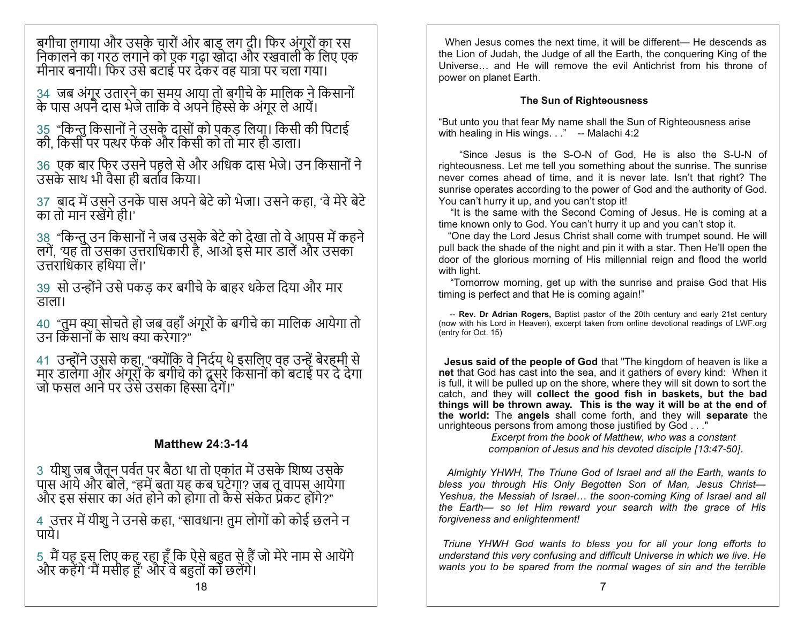बगीचा लगाया और उसके चारों ओर बाड़ लग दी। फिर अंगूरों का रस<br>निकालने का गर्ठ लगाने को एक गढ़ा खोदा और रखवाली के लिए एक मीनार बनायी। फिर उसे बटाई पर देकर वह यात्रा पर चला गया।

34) जब अंगूर उतारने का समय आया तो बगीचे के मालिक ने किसानों<br>के पास अपने दास भेजे ताकि वे अपने हिस्से के अंगूर ले आयें।

35 "किन्तु किसानों ने उसके दासों को पकड़ लिया। किसी की पिटाई<br>की, किसी पर पत्थर फेंके और किसी को तो मार ही डाला।

36) एक बार फिर उसने पहले से और अधिक दास भेजे। उन किसानों ने<br>उसके साथ भी वैसा ही बर्ताव किया।

37) बाद में उसने उनके पास अपने बेटे को भेजा। उसने कहा, 'वे मेरे बेटे का तो मान रखेंगे ही।'

38 "किन्तु उन किसानों ने जब उसके बेटे को देखा तो वे आपस में कहने<br>लगें, 'यह तो उसूका उत्तराधिकारी है, आओ इसे मार डालें और उसका उत्तराधिकार हथिया लें।'

39) सो उन्होंने उसे पकड कर बगीचे के बाहर धकेल दिया और मार डाला।

40 "तुम क्या सोचते हो जब वहाँ अंगूरों के बगीचे का मालिक आयेगा तो<br>उन किसानों के साथ क्या करेगा?"

41) उन्होंने उससे कहा, "क्योंकि वे निर्दय थे इसलिए वह उन्हें बेरहमी से<br>मार डालेगा और अंगूरों के बगीचे को दूसरे किसानों को बटाई पर दे देगा<br>जो फसल आने पर उसे उसका हिस्सा देगें।"

## **Matthew 24:3-14**

3) यीशु जब जैतून पर्वत पर बैठा था तो एकांत में उसके शिष्य उसके<br>पास आये और बोले, "हमें बता यह कब घटेगा? जब तू वापस आयेगा<br>और इस संसार का अंत होने को होगा तो कैसे संकेत प्रकट होंगे?"

4) उत्तर में यीशु ने उनसे कहा, "सावधान! तुम लोगों को कोई छलने न<br>पाये।

5 मैं यह इस लिए कह रहा हूँ कि ऐसे बहुत से हैं जो मेरे नाम से आयेंगे<br>और कहेंगे 'मैं मसीह हूँ' और वे बहुतों को छलेंगे।

When Jesus comes the next time, it will be different— He descends as the Lion of Judah, the Judge of all the Earth, the conquering King of the Universe... and He will remove the evil Antichrist from his throne of power on planet Earth.

#### **The Sun of Righteousness**

"But unto you that fear My name shall the Sun of Righteousness arise with healing in His wings. . ." -- Malachi 4:2

"Since Jesus is the S-O-N of God, He is also the S-U-N of righteousness. Let me tell you something about the sunrise. The sunrise never comes ahead of time, and it is never late. Isn't that right? The sunrise operates according to the power of God and the authority of God. You can't hurry it up, and you can't stop it!

"It is the same with the Second Coming of Jesus. He is coming at a time known only to God. You can't hurry it up and you can't stop it.

"One day the Lord Jesus Christ shall come with trumpet sound. He will pull back the shade of the night and pin it with a star. Then He'll open the door of the glorious morning of His millennial reign and flood the world with light.

"Tomorrow morning, get up with the sunrise and praise God that His timing is perfect and that He is coming again!"

-- Rev. Dr Adrian Rogers, Baptist pastor of the 20th century and early 21st century (now with his Lord in Heaven), excerpt taken from online devotional readings of LWF.org (entry for Oct. 15)

Jesus said of the people of God that "The kingdom of heaven is like a net that God has cast into the sea, and it gathers of every kind: When it is full, it will be pulled up on the shore, where they will sit down to sort the catch, and they will collect the good fish in baskets, but the bad things will be thrown away. This is the way it will be at the end of the world: The angels shall come forth, and they will separate the unrighteous persons from among those justified by God . . ."

Excerpt from the book of Matthew, who was a constant companion of Jesus and his devoted disciple [13:47-50].

Almighty YHWH. The Triune God of Israel and all the Earth, wants to bless you through His Only Begotten Son of Man, Jesus Christ-Yeshua, the Messiah of Israel... the soon-coming King of Israel and all the Earth- so let Him reward your search with the grace of His forgiveness and enlightenment!

Triune YHWH God wants to bless you for all your long efforts to understand this very confusing and difficult Universe in which we live. He wants you to be spared from the normal wages of sin and the terrible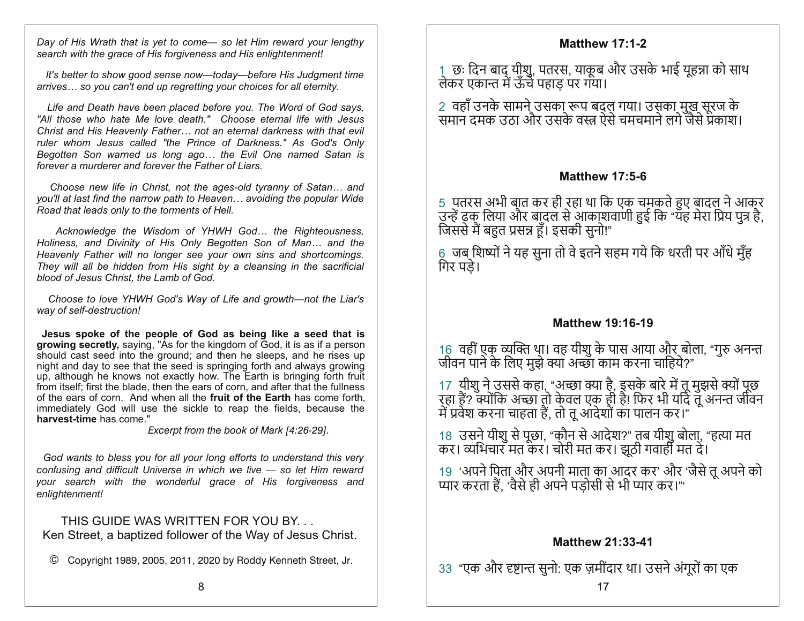Day of His Wrath that is yet to come— so let Him reward your lengthy search with the grace of His forgiveness and His enlightenment!

It's better to show good sense now-today-before His Judgment time arrives... so you can't end up regretting your choices for all eternity.

Life and Death have been placed before you. The Word of God says, "All those who hate Me love death." Choose eternal life with Jesus Christ and His Heavenly Father... not an eternal darkness with that evil ruler whom Jesus called "the Prince of Darkness." As God's Only Begotten Son warned us long ago... the Evil One named Satan is forever a murderer and forever the Father of Liars.

Choose new life in Christ, not the ages-old tyranny of Satan... and you'll at last find the narrow path to Heaven... avoiding the popular Wide Road that leads only to the torments of Hell.

Acknowledge the Wisdom of YHWH God... the Righteousness, Holiness, and Divinity of His Only Begotten Son of Man... and the Heavenly Father will no longer see your own sins and shortcomings. They will all be hidden from His sight by a cleansing in the sacrificial blood of Jesus Christ, the Lamb of God.

Choose to love YHWH God's Way of Life and growth-not the Liar's way of self-destruction!

Jesus spoke of the people of God as being like a seed that is growing secretly, saying, "As for the kingdom of God, it is as if a person should cast seed into the ground; and then he sleeps, and he rises up night and day to see that the seed is springing forth and always growing up, although he knows not exactly how. The Earth is bringing forth fruit from itself; first the blade, then the ears of corn, and after that the fullness of the ears of corn. And when all the **fruit of the Earth** has come forth, immediately God will use the sickle to reap the fields, because the harvest-time has come."

Excerpt from the book of Mark [4:26-29].

God wants to bless you for all your long efforts to understand this very confusing and difficult Universe in which we live  $-$  so let Him reward your search with the wonderful grace of His forgiveness and enlightenment!

THIS GUIDE WAS WRITTEN FOR YOU BY... Ken Street, a baptized follower of the Way of Jesus Christ.

© Copyright 1989, 2005, 2011, 2020 by Roddy Kenneth Street, Jr.

### **Matthew 17:1-2**

1) छः दिन बाद यीशु, पतरस, याकुब और उसके भाई युहन्ना को साथ लेकर एकान्त में ऊँचे पहाड़ पर गया।

2) वहाँ उनके सामने उसका रूप बदल गया। उसका मुख सूरज के<br>समान दमक उठा और उसके वस्त्र ऐसे चमचमाने लगे जैसे प्रकाश।

## **Matthew 17:5-6**

5 पतरस अभी बात कर ही रहा था कि एक चमकते हुए बादल ने आकर<br>उन्हें ढक लिया और बादल से आकाशवाणी हुई कि "यह मेरा प्रिय पुत्र है,<br>जिससे मैं बहुत प्रसन्न हूँ। इसकी सुनो!"

6 जब शिष्यों ने यह सुना तो वे इतने सहम गये कि धरती पर आँधे मुँह गिर पड़े।

### **Matthew 19:16-19**

16 वहीं एक व्यक्ति था। वह यीशु के पास आया और बोला, "गुरु अनन्त<br>जीवन पाने के लिए मुझे क्या अच्छा काम करना चाहिये?"

17) यीशु ने उससे कहा, "अच्छा क्या है, इसके बारे में तू मुझसे क्यों पूछ<br>रहा हैं? क्योंकि अच्छा तो केवल एक ही है! फिर भी यदि तू अनन्त जीवन<br>में प्रवेश करना चाहता हैं, तो तू आदेशों का पालन कर।"

18) उसने यीशु से पूछा, "कौन से आदेश?" तब यीशु बोला, "हत्या मत<br>कर। व्यभिचार मत कर। चोरी मत कर। झुठी गवाही मत दे।

19 'अपने पिता और अपनी माता का आदर कर' और 'जैसे तू अपने को<br>प्यार करता हैं, 'वैसे ही अपने पड़ोसी से भी प्यार कर।'''

### **Matthew 21:33-41**

33 "एक और दृष्टान्त सुनो: एक ज़मींदार था। उसने अंगूरों का एक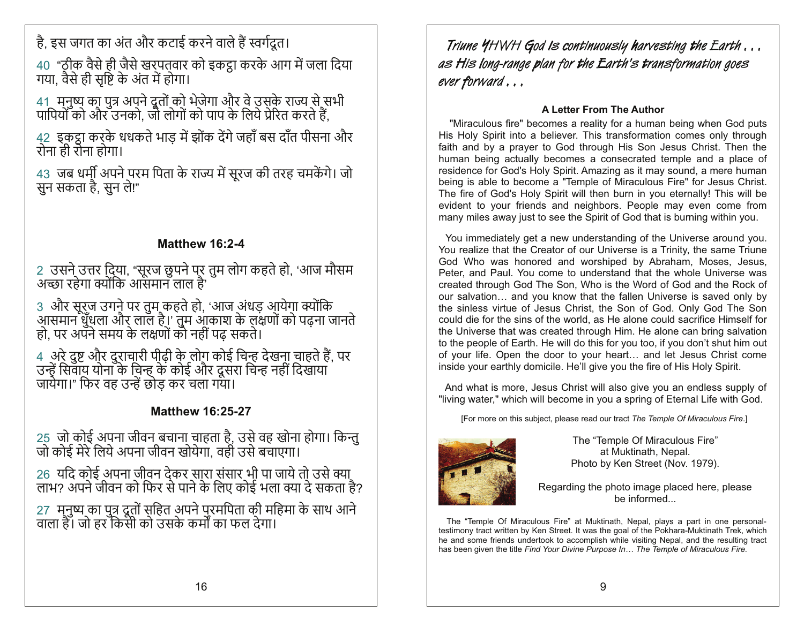है. इस जगत का अंत और कटाई करने वाले हैं स्वर्गदत।

40 "ठीक वैसे ही जैसे खरपतवार को इकट्ठा करके आग में जला दिया गया, वैसे ही सृष्टि के अंत में होगा।

41) मनुष्य का पुत्र अपने दूतों को भेजेगा और वे उसके राज्य से सभी<br>पापियों को और उनको, जो लोगों को पाप के लिये प्रेरित करते हैं,

42) इकट्ठा करके धधकते भाड़ में झोंक देंगे जहाँ बस दाँत पीसना और<br>रोना ही रोना होगा।

43 जब धर्मी अपने परम पिता के राज्य में सूरज की तरह चमकेंगे। जो सन सकता है. सन ले!"

## **Matthew 16:2-4**

2 उसने उत्तर दिया, "सूरज छुपने पर तुम लोग कहते हो, 'आज मौसम<br>अच्छा रहेगा क्योंकि आसमान लाल है'

3) और सूरज उगने पर तुम कहते हो, 'आज अंधड़ आयेगा क्योंकि<br>आसमान धुँधला और लाल है।' तुम आकाश के लक्षणों को पढ़ना जानते<br>हो, पर अपने समय के लक्षणों को नहीं पढ़ सकते।

4) अरे दुष्ट और दुराचारी पीढ़ी के लोग कोई चिन्ह देखना चाहते हैं, पर<br>उन्हें सिवाय योना के चिन्ह के कोई और दूसरा चिन्ह नहीं दिखाया<br>जायेगा।" फिर वह उन्हें छोड़ कर चला गया।

## **Matthew 16:25-27**

25) जो कोई अपना जीवन बचाना चाहता है, उसे वह खोना होगा। किन्तु<br>जो कोई मेरे लिये अपना जीवन खोयेगा, वही उसे बचाएगा।

26) यदि कोई अपना जीवन देकर सारा संसार भी पा जाये तो उसे क्या<br>लाभ? अपने जीवन को फिर से पाने के लिए कोई भला क्या दे सकता है?

27) मनुष्य का पुत्र दूतों सहित अपने परमपिता की महिमा के साथ आने<br>वाला है। जो हर किसी को उसके कर्मों का फल देगा।

Triune YHWH God is continuously harvesting the Earth . . . as His long-range plan for the Earth's transformation goes ever forward...

### **A Letter From The Author**

"Miraculous fire" becomes a reality for a human being when God puts His Holy Spirit into a believer. This transformation comes only through faith and by a prayer to God through His Son Jesus Christ. Then the human being actually becomes a consecrated temple and a place of residence for God's Holy Spirit. Amazing as it may sound, a mere human being is able to become a "Temple of Miraculous Fire" for Jesus Christ. The fire of God's Holy Spirit will then burn in you eternally! This will be evident to your friends and neighbors. People may even come from many miles away just to see the Spirit of God that is burning within you.

You immediately get a new understanding of the Universe around you. You realize that the Creator of our Universe is a Trinity, the same Triune God Who was honored and worshiped by Abraham, Moses, Jesus, Peter, and Paul. You come to understand that the whole Universe was created through God The Son, Who is the Word of God and the Rock of our salvation... and you know that the fallen Universe is saved only by the sinless virtue of Jesus Christ, the Son of God. Only God The Son could die for the sins of the world, as He alone could sacrifice Himself for the Universe that was created through Him. He alone can bring salvation to the people of Earth. He will do this for you too, if you don't shut him out of your life. Open the door to your heart... and let Jesus Christ come inside your earthly domicile. He'll give you the fire of His Holy Spirit.

And what is more, Jesus Christ will also give you an endless supply of "living water," which will become in you a spring of Eternal Life with God.

[For more on this subject, please read our tract The Temple Of Miraculous Fire.]



The "Temple Of Miraculous Fire" at Muktinath. Nepal. Photo by Ken Street (Nov. 1979).

Regarding the photo image placed here, please be informed

The "Temple Of Miraculous Fire" at Muktinath, Nepal, plays a part in one personaltestimony tract written by Ken Street. It was the goal of the Pokhara-Muktinath Trek, which he and some friends undertook to accomplish while visiting Nepal, and the resulting tract has been given the title Find Your Divine Purpose In... The Temple of Miraculous Fire.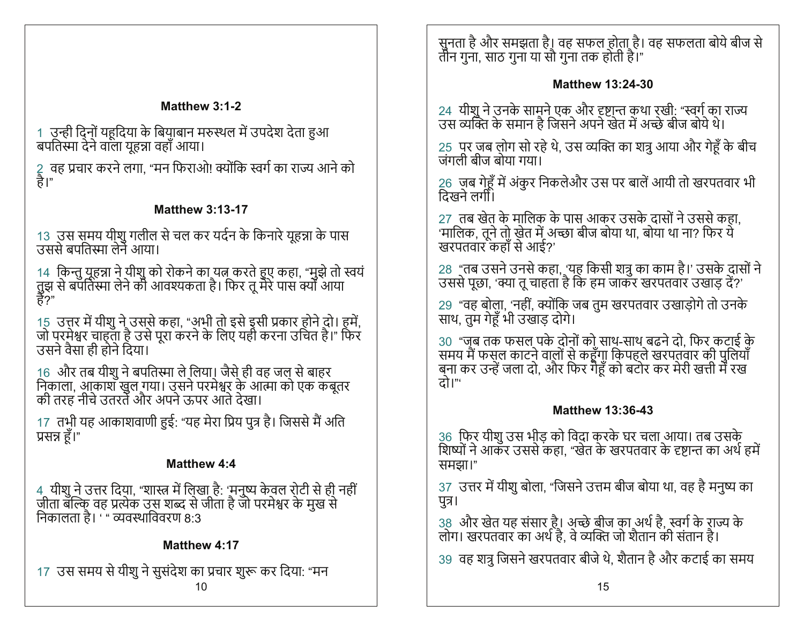## Matthew 3:1-2

1) उन्ही दिनों यहूदिया के बियाबान मरुस्थल में उपदेश देता हुआ बपतिस्मा देने वाला यहन्ना वहाँ आया।

2) वह प्रचार करने लगा, "मन फिराओ! क्योंकि स्वर्ग का राज्य आने को<br>है।"

## **Matthew 3:13-17**

13) उस समय यीशु गलील से चल कर यर्दन के किनारे यूहन्ना के पास<br>उससे बपतिस्मा लेने आया।

14) किन्तु यूहन्ना ने यीशु को रोकने का यत्न करते हुए कहा, "मुझे तो स्वयं तुझ से बपॅतिस्मा लेने की आवश्यकता है। फिर तू मेरे पास क्यों आया<br>है?"

15) उत्तर में यीशु ने उससे कहा, "अभी तो इसे इसी प्रकार होने दो। हमें,<br>जो पुरमे़श्वर चाह्ता है उसे पूरा करने के लिए यही करना उचित है।" फिर उसने वैसा ही होने दिया।

16) और तब यीशु ने बपतिस्मा ले लिया। जैसे ही वह जल से बाहर<br>निकाला, आकाश खुल गया। उसने परमेश्वर के आत्मा को एक कबूतर<br>की तरह नीचे उतरते और अपने ऊपर आते देखा।

17) तभी यह आकाशवाणी हुई: "यह मेरा प्रिय पुत्र है। जिससे मैं अति प्रसन्न हूँ।"

## Matthew 4:4

4 यीशु ने उत्तर दिया, "शास्त्र में लिखा है: 'मनुष्य केवल रोटी से ही नहीं<br>जी़ता बल्कि् वह प्रत्येक उस शब्द से जीता है जो परमेश्वर के मुख से निकालता है। ' " व्यवस्थाविवरण ८:३

# Matthew 4:17

17 उस समय से यीशु ने सुसंदेश का प्रचार शुरू कर दिया: "मन 10

सुुनता है और समझता है। वह सफल होता है। वह सफलता बोये बीज से तीन गना. साठ गना या सौ गना तक होती है।"

## **Matthew 13:24-30**

24) यीशु ने उनके सामने एक और दृष्टान्त कथा रखी: "स्वर्ग का राज्य<br>उस व्यक्ति के समान है जिसने अपने खेत में अच्छे बीज बोये थे।

25 पूर ज़ब लोग सो रहे थे, उस व्यक्ति का शत्रु आया और गेहूँ के बीच जंगली बीज बोया गया।

26) जब गेहूँ में अंकुर निकलेऔर उस पर बालें आयी तो खरपतवार भी<br>दिखने लगी।

27) तब खेत के मालिक के पास आकर उसके दासों ने उससे कहा. 'मालिक, तूने तो खेत में अच्छा बीज बोया था, बोया था ना? फिर ये<br>खरपतवार कहाँ से आई?'

28 "तब उसने उनसे कहा, 'यह किसी शत्रु का काम है।' उसके दासों ने उससे पूछा, 'क्या तू चाहता है कि हम जाकर खरपतवार उखाड़ दें?'

29 "वह बोला, 'नहीं, क्योंकि जब तुम खरपतवार उखाड़ोगे तो उनके साथ, तुम गेहूँ भी उखाड दोगे।

30 "जब तक फसल पके दोनों को साथ-साथ बढने दो, फिर कटाई के<br>समय मैं फस्ल काटने वालों से कहूँगाु कि्पहले खरपतवार की पुलियाँ बना कर उन्हें जला दो, और फिर गैहूँ को बटोर कर मेरी खत्ती में रख त्नो।"

## **Matthew 13:36-43**

36 फिर यीशु उस भीड़ को विदा करके घर चला आया। तब उसके<br>शिष्यों ने आकर उससे कहा, "खेत के खरपतवार के दृष्टान्त का अर्थ हमें समझा।"

37) उत्तर में यीशु बोला, "जिसने उत्तम बीज बोया था, वह है मनुष्य का पुत्र।

38) और खेत यह संसार है। अच्छे बीज का अर्थ है, स्वर्ग के राज्य के<br>लोग। खरपतवार का अर्थ है, वे व्यक्ति जो शैतान की संतान है।

39) वह शत्र जिसने खरपतवार बीजे थे. शैतान है और कटाई का समय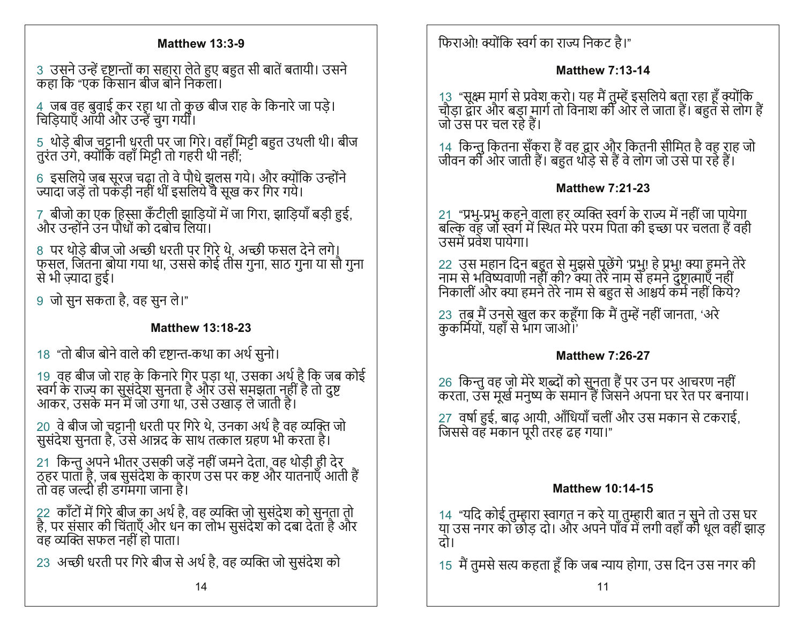## **Matthew 13:3-9**

3) उसने उन्हें दृष्टान्तों का सहारा लेते हुए बहुत सी बातें बतायी। उसने कहा कि "एक किसान बीज बोने निकला।

4 जब वह बुवाई कर रहा था तो कुछ बीज राह के किनारे जा पड़े। चिडियाएँ आयी और उन्हें चग गर्यों।

5 थोड़े बीज चट्टानी धरती पर जा गिरे। वहाँ मिट्टी बहुत उथली थी। बीज तुरंत उंगे, क्योंकि वहाँ मिट्टी तो गहरी थी नहीं:

6 इसलिये जब सूरज चढ़ा तो वे पौधे झुलस गये। और क्योंकि उन्होंने<br>ज्यादा जड़ें तो पकड़ी नहीं थीं इसलिये वे सूख कर गिर गये।

7़ बीजो का एक हिस्सा कँटीली झाड़ियों में जा गिरा, झाड़ियाँ बड़ी हुई, और उन्होंने उन पौधों को दबोच लिया।

8) पर थोड़े बीज जो अच्छी धरती पर गिरे थे, अच्छी फसल देने लगे। फसल. जिंतना बोया गया था, उससे कोई तीस गुना, साठ गुना या सौ गुना से भी ज़्यादा हुई।

9) जो सुन सकता है. वह सुन ले।"

## **Matthew 13:18-23**

18 "तो बीज बोने वाले की दृष्टान्त-कथा का अर्थ सुनो।

19) वह बीज जो राह के किनारे गिर पड़ा था, उसका अर्थ है कि जब कोई<br>स्वर्ग के राज्य का सुसंदेश सुनता है और उसे समझता नहीं है तो दुष्ट<br>आकर, उसके मन में जो उगा था, उसे उखाड़ ले जाती है।

20) वे बीज जो चट्टानी धरती पर गिरे थे, उनका अर्थ है वह व्यक्ति जो<br>सुसंदेश सुनता है, उसे आन्नद के साथ तत्काल ग्रहण भी करता है।

21 किन्तु अपने भीतर उसकी जड़ें नहीं जमने देता, वह थोड़ी ही देर ठहर पाताँ है, जब सुसंदेश के कारण उस पर कष्ट और यातनाएँ आती हैं तो वह जल्दी ही डगॅमगा जाना है।

22) कॉंटों में गिरे बीज का अर्थ है, वह व्यक्ति जो सुसंदेश को सुनता तो है, पर संसार की चिंताएँ और धन का लोभ सुसंदेश को दबा देता है और वह व्यक्ति सफल नहीं हो पाता।

23 अच्छी धरती पर गिरे बीज से अर्थ है, वह व्यक्ति जो सुसंदेश को

फिराओ! क्योंकि स्वर्ग का राज्य निकट है।"

## **Matthew 7:13-14**

13 "सक्ष्म मार्ग से प्रवेश करो। यह मैं तुम्हें इसलिये बता रहा हूँ क्योंकि चौड़ा द्वार और बड़ा मार्ग तो विनाश की ओर ले जाता हैं। बहुत से लोग हैं जो उस पर चल रहे हैं।

14) किन्तु कितना सँकुरा हैं वह द्वार और कितनी सीमित है वह राह जो जीवन की ओर जाती हैं। बहुत थोड़े से हैं वे लोग जो उसे पा रहे हैं।

## **Matthew 7:21-23**

21 "प्रभू-प्रभू कहने वाला हर व्यक्ति स्वर्ग के राज्य में नहीं जा पायेगा बल्कि वह जो स्वर्ग में स्थित मेरे परम पिता की इच्छा पर चलता हैं वही<br>उसमें प्रवेश पायेगा।

22) उस महान दिन बहुत से मुझसे पूछेंगे 'प्रभु! हे प्रभु! क्या हमने तेरे<br>नाम से भविष्यवाणी नहीं की? क्या तेरे नाम् से हमने दुष्ट्रात्माएँ नहीं निकाली और क्या हमने तेरे नाम से बहुत से आश्चर्य कर्म नहीं किये?

23) तुबू मैं उनसे खुल कर कहूँगा कि मैं तुम्हें नहीं जानता, 'अरे कुकर्मियों, यहाँ से भाग जाओ।

## **Matthew 7:26-27**

26) किन्तु वह जो मेरे शब्दों को सुनता हैं पर उन पर आचरण नहीं<br>करता, उस मूर्ख मनुष्य के समान हैं जिसने अपना घर रेत पर बनाया। 27) वर्षा हुई, बाढ आयी, आँधियाँ चलीं और उस मकान से टकराई, जिससे वह मकान पूरी तरह ढह गया।"

## **Matthew 10:14-15**

14 "यदि कोई तुम्हारा स्वागत न करे या तुम्हारी बात न सुने तो उस घर या उस नगर को छोड़ दो। और अपने पाँव में लगी वहाँ की धूल वहीं झाड़ टो।

15 मैं तुमसे सत्य कहता हूँ कि जब न्याय होगा. उस दिन उस नगर की